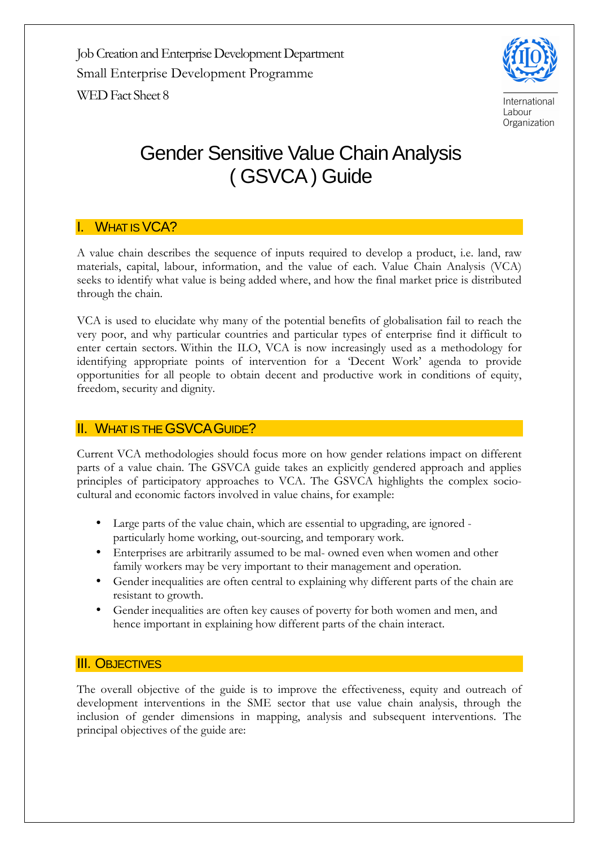Job Creation and Enterprise Development Department Small Enterprise Development Programme WED Fact Sheet 8



# Gender Sensitive Value Chain Analysis ( GSVCA ) Guide

# I. WHAT IS VCA?

A value chain describes the sequence of inputs required to develop a product, i.e. land, raw materials, capital, labour, information, and the value of each. Value Chain Analysis (VCA) seeks to identify what value is being added where, and how the final market price is distributed through the chain.

VCA is used to elucidate why many of the potential benefits of globalisation fail to reach the very poor, and why particular countries and particular types of enterprise find it difficult to enter certain sectors. Within the ILO, VCA is now increasingly used as a methodology for identifying appropriate points of intervention for a 'Decent Work' agenda to provide opportunities for all people to obtain decent and productive work in conditions of equity, freedom, security and dignity.

## **II. WHAT IS THE GSVCA GUIDE?**

Current VCA methodologies should focus more on how gender relations impact on different parts of a value chain. The GSVCA guide takes an explicitly gendered approach and applies principles of participatory approaches to VCA. The GSVCA highlights the complex sociocultural and economic factors involved in value chains, for example:

- Large parts of the value chain, which are essential to upgrading, are ignored particularly home working, out-sourcing, and temporary work.
- Enterprises are arbitrarily assumed to be mal- owned even when women and other family workers may be very important to their management and operation.
- Gender inequalities are often central to explaining why different parts of the chain are resistant to growth.
- Gender inequalities are often key causes of poverty for both women and men, and hence important in explaining how different parts of the chain interact.

# **III. OBJECTIVES**

The overall objective of the guide is to improve the effectiveness, equity and outreach of development interventions in the SME sector that use value chain analysis, through the inclusion of gender dimensions in mapping, analysis and subsequent interventions. The principal objectives of the guide are: